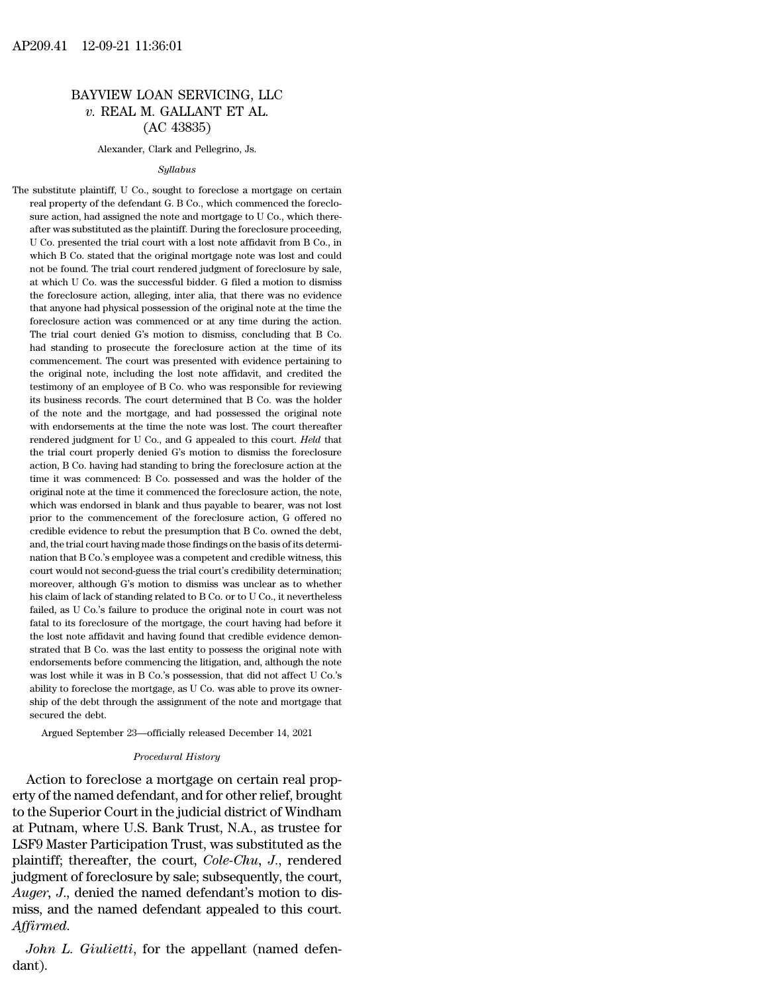# 12-09-21 11:36:01<br>BAYVIEW LOAN SERVICING, LLC<br> $v.$  REAL M. GALLANT ET AL. 12-09-21 11:36:01<br>*v.* REAL M. GALLANT ET AL.<br>(AC 43835) 1:36:01<br>(OAN SERVICING,<br>M. GALLANT ET A<br>(AC 43835)<br>, Clark and Pellegrino, Js. BAYVIEW LOAN SERVICING, LLC<br>
v. REAL M. GALLANT ET AL.<br>
(AC 43835)<br>
Alexander, Clark and Pellegrino, Js.

## *Syllabus*

The substitute plaintiff, U Co., sought to foreclose a mortgage on certain<br>real property of the defendant G. B Co., which commenced the foreclo-(AC 43033)<br>
Alexander, Clark and Pellegrino, Js.<br>
Syllabus<br>
substitute plaintiff, U Co., sought to foreclose a mortgage on certain<br>
real property of the defendant G. B Co., which commenced the foreclo-<br>
sure action, had as  $\label{eq:1} \begin{array}{c} \text{Alexander, Clark and Pellegrino, Js.}\\ \text{Substitute plaintiff, U Co., sought to foreclose a mortgage on certain real property of the defendant G. B Co., which commenced the foreclosure action, had assigned the note and mortgage to U Co., which thereafter was substituted as the plaintiff. During the foreclosure proceeding, \end{array}$  $Syllabus$ <br>substitute plaintiff, U Co., sought to foreclose a mortgage on certain<br>real property of the defendant G. B Co., which commenced the foreclo-<br>sure action, had assigned the note and mortgage to U Co., which there-<br>aft Syllabus<br>substitute plaintiff, U Co., sought to foreclose a mortgage on certain<br>real property of the defendant G. B Co., which commenced the foreclo-<br>sure action, had assigned the note and mortgage to U Co., which there-<br>a substitute plaintiff, U Co., sought to foreclose a mortgage on certain<br>real property of the defendant G. B Co., which commenced the foreclo-<br>sure action, had assigned the note and mortgage to U Co., which there-<br>after was real property of the defendant G. B Co., which commenced the foreclosure action, had assigned the note and mortgage to U Co., which thereafter was substituted as the plaintiff. During the foreclosure proceeding, U Co. pres For the sure action, had assigned the note and mortgage to U Co., which thereafter was substituted as the plaintiff. During the foreclosure proceeding, U Co. presented the trial court with a lost note affidavit from B Co. state was substituted as the plaintiff. During the foreclosure proceeding, U Co. presented the trial court with a lost note affidavit from B Co., in which B Co. stated that the original mortgage note was lost and could not U Co. presented the trial court with a lost note affidavit from B Co., in which B Co. stated that the original mortgage note was lost and could not be found. The trial court rendered judgment of foreclosure by sale, at wh which B Co. stated that the original mortgage note was lost and could not be found. The trial court rendered judgment of foreclosure by sale, at which U Co. was the successful bidder. G filed a motion to dismiss the forecl not be found. The trial court rendered judgment of foreclosure by sale, at which U Co. was the successful bidder. G filed a motion to dismiss the foreclosure action, alleging, inter alia, that there was no evidence that an had standing to prosecute the foreclosure action of its content of the foreclosure action, alleging, inter alia, that there was no evidence that anyone had physical possession of the original note at the time the foreclosu at more that anyone had physical possession of the correlation evidence that anyone had physical possession of the original note at the time the foreclosure action was commenced or at any time during the action. The trial that anyone had physical possession of the original note at the time the foreclosure action was commenced or at any time during the action.<br>The trial court denied G's motion to dismiss, concluding that B Co.<br>had standing t foreclosure action was commenced or at any time during the action.<br>The trial court denied G's motion to dismiss, concluding that B Co.<br>had standing to prosecute the foreclosure action at the time of its<br>commencement. The c The trial court denied G's motion to dismiss, concluding that B Co.<br>The trial court denied G's motion to dismiss, concluding that B Co.<br>had standing to prosecute the foreclosure action at the time of its<br>commencement. The Fract standing to prosecute the foreclosure action at the time of its commencement. The court was presented with evidence pertaining to the original note, including the lost note affidavit, and credited the testimony of an commencement. The court was presented with evidence pertaining to the original note, including the lost note affidavit, and credited the testimony of an employee of B Co. who was responsible for reviewing its business reco the original note, including the lost note affidavit, and credited the testimony of an employee of B Co. who was responsible for reviewing its business records. The court determined that B Co. was the holder of the note an testimony of an employee of B Co. who was responsible for reviewing its business records. The court determined that B Co. was the holder of the note and the mortgage, and had possessed the original note with endorsements a its business records. The court determined that B Co. was the holder of the note and the mortgage, and had possessed the original note with endorsements at the time the note was lost. The court thereafter rendered judgment for the note and the mortgage, and had possessed the original note with endorsements at the time the note was lost. The court thereafter rendered judgment for U Co., and G appealed to this court. *Held* that the trial cour with endorsements at the time the note was lost. The court thereafter rendered judgment for U Co., and G appealed to this court. *Held* that the trial court properly denied G's motion to dismiss the foreclosure action, B C where divergent for U Co., and G appealed to this court. Held that the trial court properly denied G's motion to dismiss the foreclosure action, B Co. having had standing to bring the foreclosure action at the time it was prior to the trial court properly denied G's motion to dismiss the foreclosure action, B Co. having had standing to bring the foreclosure action at the time it was commenced: B Co. possessed and was the holder of the origi action, B Co. having had standing to bring the foreclosure action at the time it was commenced: B Co. possessed and was the holder of the original note at the time it commenced the foreclosure action, the note, which was e action, B Co. having had standing to bring the foreclosure action at the time it was commenced: B Co. possessed and was the holder of the original note at the time it commenced the foreclosure action, the note, which was e court would not second-guess the trial court's credibility determination; which was endorsed in blank and thus payable to bearer, was not lost<br>prior to the commencement of the foreclosure action, G offered no<br>credible evidence to rebut the presumption that B Co. owned the debt,<br>and, the trial co prior to the commencement of the foreclosure action, G offered no<br>credible evidence to rebut the presumption that B Co. owned the debt,<br>and, the trial court having made those findings on the basis of its determi-<br>nation th credible evidence to rebut the presumption that B Co. owned the debt, and, the trial court having made those findings on the basis of its determination that B Co.'s employee was a competent and credible witness, this court and, the trial court having made those findings on the basis of its determination that B Co.'s employee was a competent and credible witness, this court would not second-guess the trial court's credibility determination; m and to that B Co.'s employee was a competent and credible witness, this court would not second-guess the trial court's credibility determination; moreover, although G's motion to dismiss was unclear as to whether his claim From would not second-guess the trial court's credibility determination;<br>moreover, although G's motion to dismiss was unclear as to whether<br>his claim of lack of standing related to B Co. or to U Co., it nevertheless<br>failed strated that B Co. was the last entity to possess the original note in the last entire his claim of lack of standing related to B Co. or to U Co., it nevertheless failed, as U Co.'s failure to produce the original note in his claim of lack of standing related to B Co. or to U Co., it nevertheless failed, as U Co.'s failure to produce the original note in court was not fatal to its foreclosure of the mortgage, the court having had before it Failed, as U Co.'s failure to produce the original note in court was not fatal to its foreclosure of the mortgage, the court having had before it the lost note affidavit and having found that credible evidence demonstrate Fatal to its foreclosure of the mortgage, the court having had before it fatal to its foreclosure of the mortgage, the court having had before it the lost note affidavit and having found that credible evidence demonstrate the lost note affidavit and having found that credible evidence demonstrated that B Co. was the last entity to possess the original note with endorsements before commencing the litigation, and, although the note was lost w the lost note affidavit and having found that credible evidence demonstrated that B Co. was the last entity to possess the original note with endorsements before commencing the litigation, and, although the note was lost dorsements before commencing the litigation, and, although the note<br>is lost while it was in B Co.'s possession, that did not affect U Co.'s<br>ility to foreclose the mortgage, as U Co. was able to prove its owner-<br>ip of the d % ability to foreclose the mortgage, as U Co. was able to prove its ownership of the debt through the assignment of the note and mortgage that secured the debt.<br>Argued September 23—officially released December 14, 2021<br>*Pr* Was lost while it was in B Co. s possession, that did not allect U Co. s<br>ability to foreclose the mortgage, as U Co. was able to prove its owner-<br>ship of the debt through the assignment of the note and mortgage that<br>secure

example of the debt through the assignment of the note and mortgage that<br>secured the debt.<br>Argued September 23—officially released December 14, 2021<br>*Procedural History*<br>Action to foreclose a mortgage on certain real prop secured the debt.<br>
Argued September 23—officially released December 14, 2021<br>
Procedural History<br>
Action to foreclose a mortgage on certain real prop-<br>
erty of the named defendant, and for other relief, brought<br>
to the Sup Argued September 23—officially released December 14, 2021<br> *Procedural History*<br>
Action to foreclose a mortgage on certain real prop-<br>
erty of the named defendant, and for other relief, brought<br>
to the Superior Court in th Procedural History<br>Action to foreclose a mortgage on certain real prop-<br>erty of the named defendant, and for other relief, brought<br>to the Superior Court in the judicial district of Windham<br>at Putnam, where U.S. Bank Trust, *Proceaural History*<br>Action to foreclose a mortgage on certain real prop-<br>erty of the named defendant, and for other relief, brought<br>to the Superior Court in the judicial district of Windham<br>at Putnam, where U.S. Bank Trus Action to foreclose a mortgage on certain real property of the named defendant, and for other relief, brought to the Superior Court in the judicial district of Windham at Putnam, where U.S. Bank Trust, N.A., as trustee fo erty of the named defendant, and for other relief, brought<br>to the Superior Court in the judicial district of Windham<br>at Putnam, where U.S. Bank Trust, N.A., as trustee for<br>LSF9 Master Participation Trust, was substituted a to the Superior Court in the judicial district of Windham<br>at Putnam, where U.S. Bank Trust, N.A., as trustee for<br>LSF9 Master Participation Trust, was substituted as the<br>plaintiff; thereafter, the court, *Cole-Chu*, J., ren *LSF 9 Master Participation Trust, was substituted as the plaintiff; thereafter, the court, <i>Cole-Chu, J.*, rendered judgment of foreclosure by sale; subsequently, the court, *Auger*, *J.*, denied the named defendant's mot

dant).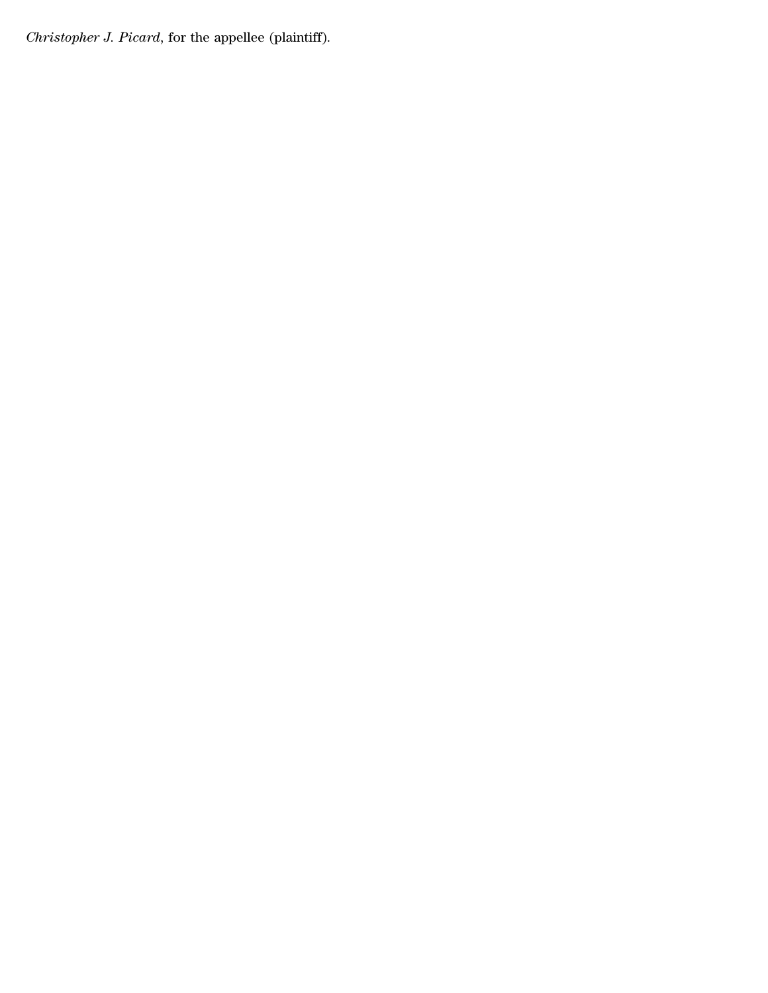*Christopher J. Picard*, for the appellee (plaintiff).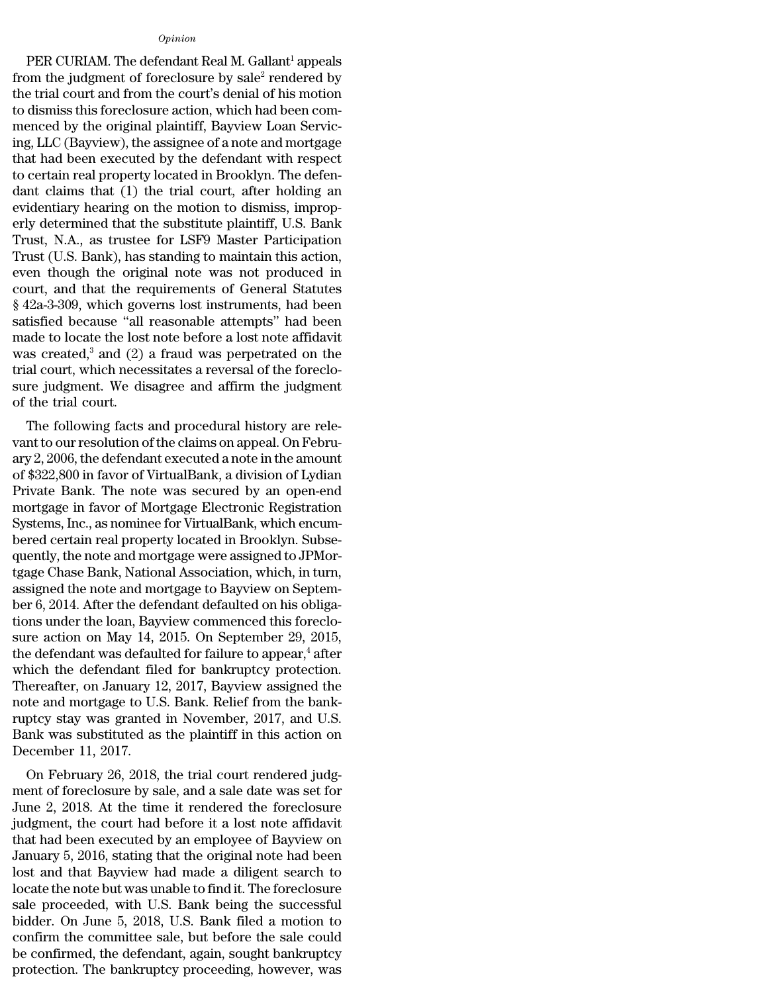## *Opinion*

Opinion<br>
PER CURIAM. The defendant Real M. Gallant<sup>1</sup> appeals<br>
om the judgment of foreclosure by sale<sup>2</sup> rendered by<br>
a trial court and from the court's dopial of bis motion opinion<br>PER CURIAM. The defendant Real M. Gallant<sup>1</sup> appeals<br>from the judgment of foreclosure by sale<sup>2</sup> rendered by<br>the trial court and from the court's denial of his motion<br>to dismiss this foreclosure action, which had b opinion<br>
PER CURIAM. The defendant Real M. Gallant<sup>1</sup> appeals<br>
from the judgment of foreclosure by sale<sup>2</sup> rendered by<br>
the trial court and from the court's denial of his motion<br>
to dismiss this foreclosure action, which h  $\omega_{pinion}$ <br>
PER CURIAM. The defendant Real M. Gallant<sup>1</sup> appeals<br>
from the judgment of foreclosure by sale<sup>2</sup> rendered by<br>
the trial court and from the court's denial of his motion<br>
to dismiss this foreclosure action, which  $\omega_{pinion}$ <br>
PER CURIAM. The defendant Real M. Gallant<sup>1</sup> appeals<br>
from the judgment of foreclosure by sale<sup>2</sup> rendered by<br>
the trial court and from the court's denial of his motion<br>
to dismiss this foreclosure action, which FER CURIAM. The defendant Real M. Gallant<sup>1</sup> appeals<br>from the judgment of foreclosure by sale<sup>2</sup> rendered by<br>the trial court and from the court's denial of his motion<br>to dismiss this foreclosure action, which had been com PER CURIAM. The defendant Real M. Gallant<sup>1</sup> appeals<br>from the judgment of foreclosure by sale<sup>2</sup> rendered by<br>the trial court and from the court's denial of his motion<br>to dismiss this foreclosure action, which had been com from the judgment of foreclosure by sale<sup>2</sup> rendered by<br>the trial court and from the court's denial of his motion<br>to dismiss this foreclosure action, which had been com-<br>menced by the original plaintiff, Bayview Loan Servi the trial court and from the court's denial of his motion<br>to dismiss this foreclosure action, which had been com-<br>menced by the original plaintiff, Bayview Loan Servic-<br>ing, LLC (Bayview), the assignee of a note and mortga to dismiss this foreclosure action, which had been com-<br>menced by the original plaintiff, Bayview Loan Servic-<br>ing, LLC (Bayview), the assignee of a note and mortgage<br>that had been executed by the defendant with respect<br>t menced by the original plaintiff, Bayview Loan Servic-<br>ing, LLC (Bayview), the assignee of a note and mortgage<br>that had been executed by the defendant with respect<br>to certain real property located in Brooklyn. The defen-<br>d ing, LLC (Bayview), the assignee of a note and mortgage<br>that had been executed by the defendant with respect<br>to certain real property located in Brooklyn. The defen-<br>dant claims that (1) the trial court, after holding an<br>e that had been executed by the defendant with respect<br>to certain real property located in Brooklyn. The defen-<br>dant claims that (1) the trial court, after holding an<br>evidentiary hearing on the motion to dismiss, improp-<br>erl to certain real property located in Brooklyn. The defen-<br>dant claims that (1) the trial court, after holding an<br>evidentiary hearing on the motion to dismiss, improp-<br>erly determined that the substitute plaintiff, U.S. Bank dant claims that (1) the trial court, after holding an evidentiary hearing on the motion to dismiss, improperly determined that the substitute plaintiff, U.S. Bank Trust, N.A., as trustee for LSF9 Master Participation Trus evidentiary hearing on the motion to dismiss, improperly determined that the substitute plaintiff, U.S. Bank<br>Trust, N.A., as trustee for LSF9 Master Participation<br>Trust (U.S. Bank), has standing to maintain this action,<br>ev erly determined that the substitute plaintiff, U.S. Bank<br>Trust, N.A., as trustee for LSF9 Master Participation<br>Trust (U.S. Bank), has standing to maintain this action,<br>even though the original note was not produced in<br>cour Trust, N.A., as trustee for LSF9 Master Participation<br>Trust (U.S. Bank), has standing to maintain this action,<br>even though the original note was not produced in<br>court, and that the requirements of General Statutes<br>§ 42a-3 Trust (U.S. Bank), has standing to maintain this action,<br>even though the original note was not produced in<br>court, and that the requirements of General Statutes<br> $\frac{2a-3-309}{a}$ , which governs lost instruments, had been<br>sa even though the original note was not produced in<br>court, and that the requirements of General Statutes<br>§ 42a-3-309, which governs lost instruments, had been<br>satisfied because "all reasonable attempts" had been<br>made to loca court, and that the requirements of General Statutes  $§$  42a-3-309, which governs lost instruments, had been satisfied because "all reasonable attempts" had been made to locate the lost note before a lost note affidavit w  $$42a-3-309$ , which gov<br>satisfied because "all<br>made to locate the lost<br>was created,<sup>3</sup> and (2)<br>trial court, which neces<br>sure judgment. We dis<br>of the trial court.<br>The following facts Eished because an reasonable attempts had been<br>ade to locate the lost note before a lost note affidavit<br>as created,<sup>3</sup> and (2) a fraud was perpetrated on the<br>al court, which necessitates a reversal of the foreclo-<br>re judg made to locate the lost hote before a lost hote amdavit<br>was created,<sup>3</sup> and (2) a fraud was perpetrated on the<br>trial court, which necessitates a reversal of the foreclo-<br>sure judgment. We disagree and affirm the judgment<br>

was created, and  $(2)$  a fraud was perpetrated on the<br>trial court, which necessitates a reversal of the foreclo-<br>sure judgment. We disagree and affirm the judgment<br>of the trial court.<br>The following facts and procedural hi of the trial court, which hecessicates a reversal of the foreclo-<br>sure judgment. We disagree and affirm the judgment<br>of the trial court.<br>The following facts and procedural history are rele-<br>vant to our resolution of the cl sure judgment. We usagree and armini the judgment<br>of the trial court.<br>The following facts and procedural history are rele-<br>vant to our resolution of the claims on appeal. On Febru-<br>ary 2, 2006, the defendant executed a not of the trial court.<br>The following facts and procedural history are rele-<br>vant to our resolution of the claims on appeal. On Febru-<br>ary 2, 2006, the defendant executed a note in the amount<br>of \$322,800 in favor of VirtualBan The following facts and procedural history are relevant to our resolution of the claims on appeal. On February 2, 2006, the defendant executed a note in the amount of \$322,800 in favor of VirtualBank, a division of Lydian vant to our resolution of the claims on appeal. On February 2, 2006, the defendant executed a note in the amount of \$322,800 in favor of VirtualBank, a division of Lydian Private Bank. The note was secured by an open-end m ary 2, 2006, the defendant executed a note in the amount<br>of \$322,800 in favor of VirtualBank, a division of Lydian<br>Private Bank. The note was secured by an open-end<br>mortgage in favor of Mortgage Electronic Registration<br>Sys of \$322,800 in favor of VirtualBank, a division of Lydian<br>Private Bank. The note was secured by an open-end<br>mortgage in favor of Mortgage Electronic Registration<br>Systems, Inc., as nominee for VirtualBank, which encum-<br>bere Private Bank. The note was secured by an open-end<br>mortgage in favor of Mortgage Electronic Registration<br>Systems, Inc., as nominee for VirtualBank, which encum-<br>bered certain real property located in Brooklyn. Subse-<br>quentl mortgage in favor of Mortgage Electronic Registration<br>Systems, Inc., as nominee for VirtualBank, which encum-<br>bered certain real property located in Brooklyn. Subse-<br>quently, the note and mortgage were assigned to JPMor-<br>t Systems, Inc., as nominee for VirtualBank, which encum-<br>bered certain real property located in Brooklyn. Subse-<br>quently, the note and mortgage were assigned to JPMor-<br>tgage Chase Bank, National Association, which, in turn, bered certain real property located in Brooklyn. Subsequently, the note and mortgage were assigned to JPMortgage Chase Bank, National Association, which, in turn, assigned the note and mortgage to Bayview on September 6, 2 quently, the note and mortgage were assigned to JPMortgage Chase Bank, National Association, which, in turn,<br>assigned the note and mortgage to Bayview on Septem-<br>ber 6, 2014. After the defendant defaulted on his obliga-<br>ti tgage Chase Bank, National Association, which, in turn,<br>assigned the note and mortgage to Bayview on Septem-<br>ber 6, 2014. After the defendant defaulted on his obliga-<br>tions under the loan, Bayview commenced this foreclo-<br>s assigned the note and mortgage to Bayview on Septem-<br>ber 6, 2014. After the defendant defaulted on his obliga-<br>tions under the loan, Bayview commenced this foreclo-<br>sure action on May 14, 2015. On September 29, 2015,<br>the d ber 6, 2014. After the defendant defaulted on his obligations under the loan, Bayview commenced this foreclosure action on May 14, 2015. On September 29, 2015, the defendant was defaulted for failure to appear,<sup>4</sup> after wh tions under the loan, Bayview commenced this foreclo-<br>sure action on May 14, 2015. On September 29, 2015,<br>the defendant was defaulted for failure to appear,<sup>4</sup> after<br>which the defendant filed for bankruptcy protection.<br>The sure action on May 14, 2015. On September 29, 2015,<br>the defendant was defaulted for failure to appear,<sup>4</sup> after<br>which the defendant filed for bankruptcy protection.<br>Thereafter, on January 12, 2017, Bayview assigned the<br>not the defendant was defaul<br>which the defendant file<br>Thereafter, on January 1<br>note and mortgage to U.S<br>ruptcy stay was granted<br>Bank was substituted as<br>December 11, 2017.<br>On February 26, 2018, nereafter, on January 12, 2017, Bayview assigned the<br>te and mortgage to U.S. Bank. Relief from the bank-<br>ptcy stay was granted in November, 2017, and U.S.<br>sunk was substituted as the plaintiff in this action on<br>ecember 11, Thereatter, on January 12, 2017, Bayview assigned the<br>note and mortgage to U.S. Bank. Relief from the bank-<br>ruptcy stay was granted in November, 2017, and U.S.<br>Bank was substituted as the plaintiff in this action on<br>Decem

Fruptcy stay was granted in November, 2017, and U.S.<br>Bank was substituted as the plaintiff in this action on<br>December 11, 2017.<br>On February 26, 2018, the trial court rendered judg-<br>ment of foreclosure by sale, and a sale d Fupicy stay was grained in November, 2017, and 0.5.<br>Bank was substituted as the plaintiff in this action on<br>December 11, 2017.<br>On February 26, 2018, the trial court rendered judg-<br>ment of foreclosure by sale, and a sale d Bank was substituted as the plaint in this action on<br>December 11, 2017.<br>On February 26, 2018, the trial court rendered judg-<br>ment of foreclosure by sale, and a sale date was set for<br>June 2, 2018. At the time it rendered th December 11, 2017.<br>
On February 26, 2018, the trial court rendered judg-<br>
ment of foreclosure by sale, and a sale date was set for<br>
June 2, 2018. At the time it rendered the foreclosure<br>
judgment, the court had before it a On February 26, 2018, the trial court rendered judgment of foreclosure by sale, and a sale date was set for June 2, 2018. At the time it rendered the foreclosure judgment, the court had before it a lost note affidavit tha ment of foreclosure by sale, and a sale date was set for<br>June 2, 2018. At the time it rendered the foreclosure<br>judgment, the court had before it a lost note affidavit<br>that had been executed by an employee of Bayview on<br>Jan June 2, 2018. At the time it rendered the foreclosure<br>judgment, the court had before it a lost note affidavit<br>that had been executed by an employee of Bayview on<br>January 5, 2016, stating that the original note had been<br>los judgment, the court had before it a lost note affidavit<br>that had been executed by an employee of Bayview on<br>January 5, 2016, stating that the original note had been<br>lost and that Bayview had made a diligent search to<br>locat that had been executed by an employee of Bayview on<br>January 5, 2016, stating that the original note had been<br>lost and that Bayview had made a diligent search to<br>locate the note but was unable to find it. The foreclosure<br>sa January 5, 2016, stating that the original note had been<br>lost and that Bayview had made a diligent search to<br>locate the note but was unable to find it. The foreclosure<br>sale proceeded, with U.S. Bank being the successful<br>bi lost and that Bayview had made a diligent search to<br>locate the note but was unable to find it. The foreclosure<br>sale proceeded, with U.S. Bank being the successful<br>bidder. On June 5, 2018, U.S. Bank filed a motion to<br>confir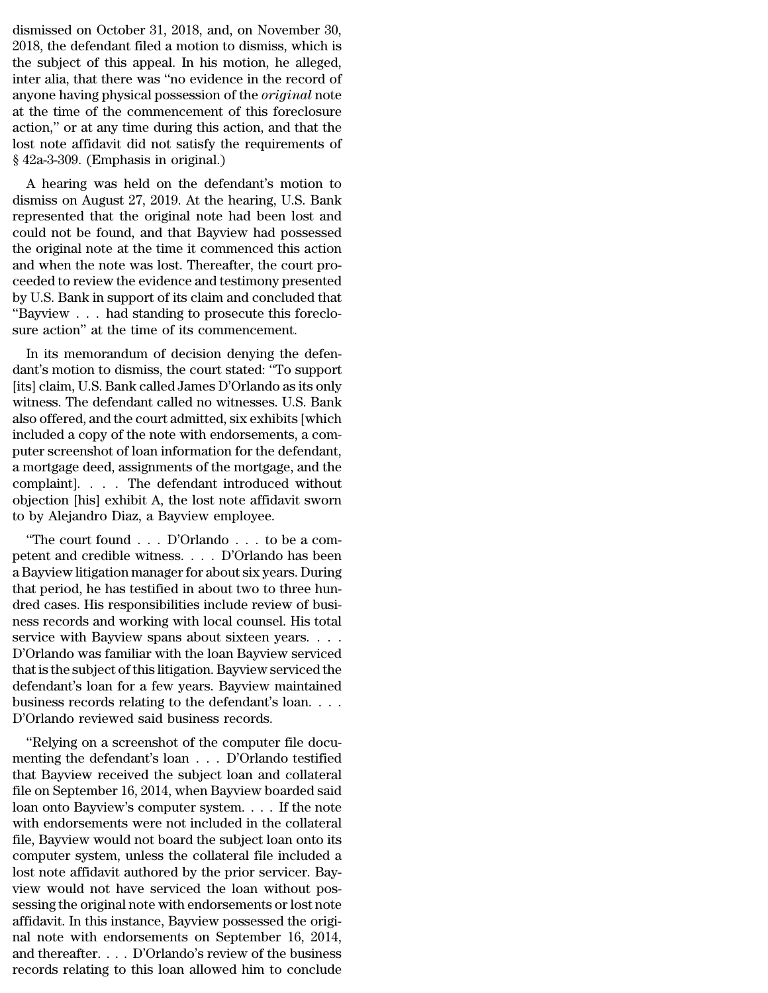dismissed on October 31, 2018, and, on November 30,<br>2018, the defendant filed a motion to dismiss, which is<br>the subject of this annoal. In his motion, he alloged dismissed on October 31, 2018, and, on November 30,<br>2018, the defendant filed a motion to dismiss, which is<br>the subject of this appeal. In his motion, he alleged,<br>inter alia, that there was "no evidence in the record of dismissed on October 31, 2018, and, on November 30,<br>2018, the defendant filed a motion to dismiss, which is<br>the subject of this appeal. In his motion, he alleged,<br>inter alia, that there was "no evidence in the record of<br>an dismissed on October 31, 2018, and, on November 30,<br>2018, the defendant filed a motion to dismiss, which is<br>the subject of this appeal. In his motion, he alleged,<br>inter alia, that there was "no evidence in the record of<br>an dismissed on October 31, 2018, and, on November 30,<br>2018, the defendant filed a motion to dismiss, which is<br>the subject of this appeal. In his motion, he alleged,<br>inter alia, that there was "no evidence in the record of<br>an dismissed on October 31, 2018, and, on November 30,<br>2018, the defendant filed a motion to dismiss, which is<br>the subject of this appeal. In his motion, he alleged,<br>inter alia, that there was "no evidence in the record of<br>an dismissed on October 31, 2018, and, on November 30, 2018, the defendant filed a motion to dismiss, which is the subject of this appeal. In his motion, he alleged, inter alia, that there was "no evidence in the record of a 2018, the defendant filed a motion to dismiss, which is<br>the subject of this appeal. In his motion, he alleged,<br>inter alia, that there was "no evidence in the record of<br>anyone having physical possession of the *original* n the subject of this appeal. In his motion,<br>inter alia, that there was "no evidence in th<br>anyone having physical possession of the *or*<br>at the time of the commencement of this<br>action," or at any time during this action, a<br> Figure 2.1 and there was hold evidence in the record of<br>yone having physical possession of the *original* note<br>the time of the commencement of this foreclosure<br>tion," or at any time during this action, and that the<br>st note anyone naving physical possession of the *original* note<br>at the time of the commencement of this foreclosure<br>action," or at any time during this action, and that the<br>lost note affidavit did not satisfy the requirements of<br>

at the time of the commencement of this lorecrosure<br>action," or at any time during this action, and that the<br>lost note affidavit did not satisfy the requirements of<br> $\$  42a-3-309. (Emphasis in original.)<br>A hearing was hel action, or at any time during this action, and that the<br>lost note affidavit did not satisfy the requirements of<br>§ 42a-3-309. (Emphasis in original.)<br>A hearing was held on the defendant's motion to<br>dismiss on August 27, 201 fost note amdavit did not satisfy the requirements of<br>  $\S$  42a-3-309. (Emphasis in original.)<br>
A hearing was held on the defendant's motion to<br>
dismiss on August 27, 2019. At the hearing, U.S. Bank<br>
represented that the o s 42a-5-509. (Emphasis in original.)<br>
A hearing was held on the defendant's motion to<br>
dismiss on August 27, 2019. At the hearing, U.S. Bank<br>
represented that the original note had been lost and<br>
could not be found, and th A hearing was held on the defendant's motion to<br>dismiss on August 27, 2019. At the hearing, U.S. Bank<br>represented that the original note had been lost and<br>could not be found, and that Bayview had possessed<br>the original not dismiss on August 27, 2019. At the hearing, U.S. Bank<br>represented that the original note had been lost and<br>could not be found, and that Bayview had possessed<br>the original note at the time it commenced this action<br>and when represented that the original note had been lost and could not be found, and that Bayview had possessed the original note at the time it commenced this action and when the note was lost. Thereafter, the court proceeded to could not be found, and that Bayview had possess<br>the original note at the time it commenced this action<br>and when the note was lost. Thereafter, the court pr<br>ceeded to review the evidence and testimony present<br>by U.S. Bank In its memorandum of decision denying the defen-<br>In its memorandum of the evidence and testimony presented<br>ILS. Bank in support of its claim and concluded that<br>layview . . . had standing to prosecute this foreclo-<br>re actio and when the note was lost. Thereafter, the court proceeded to review the evidence and testimony presented<br>by U.S. Bank in support of its claim and concluded that<br>"Bayview . . . had standing to prosecute this foreclo-<br>sure

Evertuant of Foremain evidence and testimoly presented<br>by U.S. Bank in support of its claim and concluded that<br>"Bayview . . . had standing to prosecute this foreclo-<br>sure action" at the time of its commencement.<br>In its mem by U.S. Dank in support of its claim and concided that<br>"Bayview . . . had standing to prosecute this foreclo-<br>sure action" at the time of its commencement.<br>In its memorandum of decision denying the defen-<br>dant's motion to Bayview  $\ldots$  had standing to prosecute this foreclosure action" at the time of its commencement.<br>In its memorandum of decision denying the defendant's motion to dismiss, the court stated: "To support [its] claim, U.S. Ba sure action at the time of its commencement.<br>In its memorandum of decision denying the defen-<br>dant's motion to dismiss, the court stated: "To support<br>[its] claim, U.S. Bank called James D'Orlando as its only<br>witness. The d In its memorandum of decision denying the defen-<br>dant's motion to dismiss, the court stated: "To support<br>[its] claim, U.S. Bank called James D'Orlando as its only<br>witness. The defendant called no witnesses. U.S. Bank<br>also dant's motion to dismiss, the court stated: "To support<br>[its] claim, U.S. Bank called James D'Orlando as its only<br>witness. The defendant called no witnesses. U.S. Bank<br>also offered, and the court admitted, six exhibits [wh [its] claim, U.S. Bank called James D'Orlando as its only<br>witness. The defendant called no witnesses. U.S. Bank<br>also offered, and the court admitted, six exhibits [which<br>included a copy of the note with endorsements, a com witness. The defendant called no witnesses. U.S. Bank<br>also offered, and the court admitted, six exhibits [which<br>included a copy of the note with endorsements, a com-<br>puter screenshot of loan information for the defendant,<br> also offered, and the court admitted, six exhibits [included a copy of the note with endorsements, a<br>puter screenshot of loan information for the defen<br>a mortgage deed, assignments of the mortgage, a<br>complaint].  $\ldots$ . Th Fluded a copy of the note what endorsements, a cont-<br>ter screenshot of loan information for the defendant,<br>mortgage deed, assignments of the mortgage, and the<br>mplaint].  $\ldots$  The defendant introduced without<br>jection [his] puter screenshot of ioan information for the defendant,<br>a mortgage deed, assignments of the mortgage, and the<br>complaint]. . . . . The defendant introduced without<br>objection [his] exhibit A, the lost note affidavit sworn<br>to

a mortgage deed, assignments of the mortgage, and the<br>complaint]. . . . . The defendant introduced without<br>objection [his] exhibit A, the lost note affidavit sworn<br>to by Alejandro Diaz, a Bayview employee.<br>"The court found omplantly.  $\cdot$   $\cdot$   $\cdot$  in the defendant introduced without objection [his] exhibit A, the lost note affidavit sworn to by Alejandro Diaz, a Bayview employee.<br>
"The court found  $\cdot$   $\cdot$   $\cdot$  D'Orlando  $\cdot$   $\cdot$  to be a dependent pays exhibit A, the fost hote amdavit sworn<br>to by Alejandro Diaz, a Bayview employee.<br>"The court found . . . D'Orlando . . . to be a com-<br>petent and credible witness. . . . D'Orlando has been<br>a Bayview litigation ness records and working with the loan Bayakov serviced.<br>
The court found  $\ldots$  D'Orlando  $\ldots$  to be a competent and credible witness.  $\ldots$  D'Orlando has been<br>
a Bayview litigation manager for about six years. During<br>
t "The court found . . . D'Orlando . . . to be a competent and credible witness. . . . D'Orlando has been<br>a Bayview litigation manager for about six years. During<br>that period, he has testified in about two to three hun-<br>dre petent and credible witness. . . . D'Orlando has been<br>a Bayview litigation manager for about six years. During<br>that period, he has testified in about two to three hun-<br>dred cases. His responsibilities include review of bus a Bayview litigation manager for about six years. During<br>that period, he has testified in about two to three hun-<br>dred cases. His responsibilities include review of busi-<br>ness records and working with local counsel. His to that period, he has testified in about two to three hundred cases. His responsibilities include review of business records and working with local counsel. His total service with Bayview spans about sixteen years. . . . D'O dred cases. His responsibilities include review of business records and working with local counsel. His total<br>service with Bayview spans about sixteen years. . . . D'Orlando was familiar with the loan Bayview serviced<br>that ness records and working with local counsel. Hi<br>service with Bayview spans about sixteen years<br>D'Orlando was familiar with the loan Bayview se<br>that is the subject of this litigation. Bayview servic<br>defendant's loan for a f File with Bayview spans about sixteen years.<br>
Orlando was familiar with the loan Bayview serviced<br>
at is the subject of this litigation. Bayview serviced the<br>
fendant's loan for a few years. Bayview maintained<br>
siness reco D'Orlando was familiar with the loan Dayview serviced<br>that is the subject of this litigation. Bayview serviced the<br>defendant's loan for a few years. Bayview maintained<br>business records relating to the defendant's loan....<br>

that is the subject of this htigation. Bayview serviced the<br>defendant's loan for a few years. Bayview maintained<br>business records relating to the defendant's loan....<br>D'Orlando reviewed said business records.<br>"Relying on a defendant's foar for a few years. Bayview manufamed<br>business records relating to the defendant's loan....<br>D'Orlando reviewed said business records.<br>"Relying on a screenshot of the computer file docu-<br>menting the defendant' D'Orlando reviewed said business records.<br>
"Relying on a screenshot of the computer file documenting the defendant's loan  $\ldots$  D'Orlando testified<br>
that Bayview received the subject loan and collateral<br>
file on September D'Oriando reviewed said business records.<br>
"Relying on a screenshot of the computer file documenting the defendant's loan  $\ldots$  D'Orlando testified<br>
that Bayview received the subject loan and collateral<br>
file on September "Relying on a screenshot of the computer file documenting the defendant's loan  $\ldots$  D'Orlando testified<br>that Bayview received the subject loan and collateral<br>file on September 16, 2014, when Bayview boarded said<br>loan ont menting the defendant's loan  $\ldots$  D'Orlando testified<br>that Bayview received the subject loan and collateral<br>file on September 16, 2014, when Bayview boarded said<br>loan onto Bayview's computer system.  $\ldots$  If the note<br>wit that Bayview received the subject loan and collateral file on September 16, 2014, when Bayview boarded said loan onto Bayview's computer system. . . . If the note with endorsements were not included in the collateral file, file on September 16, 2014, when Bayview boarded said<br>loan onto Bayview's computer system. . . . If the note<br>with endorsements were not included in the collateral<br>file, Bayview would not board the subject loan onto its<br>com loan onto Bayview's computer system. . . . . If the note<br>with endorsements were not included in the collateral<br>file, Bayview would not board the subject loan onto its<br>computer system, unless the collateral file included a with endorsements were not included in the collateral<br>file, Bayview would not board the subject loan onto its<br>computer system, unless the collateral file included a<br>lost note affidavit authored by the prior servicer. Bay-<br> file, Bayview would not board the subject loan onto its<br>computer system, unless the collateral file included a<br>lost note affidavit authored by the prior servicer. Bay-<br>view would not have serviced the loan without pos-<br>ses computer system, unless the collateral file included a<br>lost note affidavit authored by the prior servicer. Bay-<br>view would not have serviced the loan without pos-<br>sessing the original note with endorsements or lost note<br>af lost note affidavit authored by the prior servicer. Bay-<br>view would not have serviced the loan without pos-<br>sessing the original note with endorsements or lost note<br>affidavit. In this instance, Bayview possessed the origi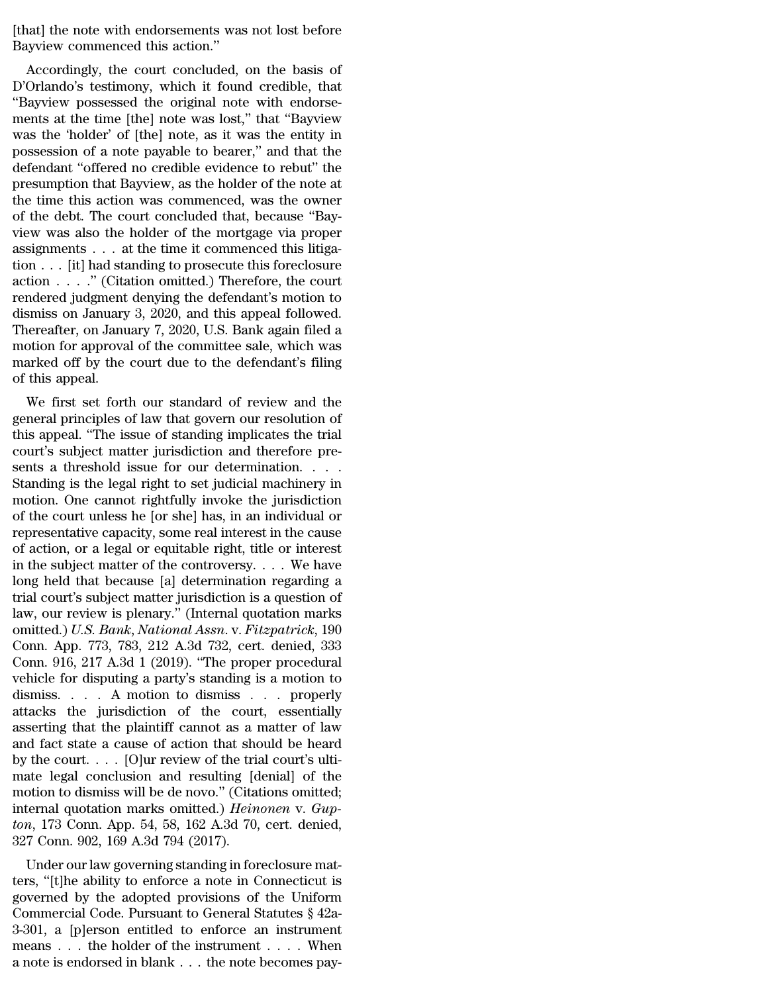[that] the note with endorsements was not lost before [that] the note with endorsements was<br>Bayview commenced this action."<br>Accordingly, the court concluded,

Accordingly, the court concluded, on the basis of<br>Accordingly, the court concluded, on the basis of<br>Orlando's testimony, which it found credible, that<br>avviow possessed the criginal note with enderse [that] the note with endorsements was not lost before<br>Bayview commenced this action."<br>Accordingly, the court concluded, on the basis of<br>D'Orlando's testimony, which it found credible, that<br>"Bayview possessed the original n [that] the note with endorsements was not lost before<br>Bayview commenced this action."<br>Accordingly, the court concluded, on the basis of<br>D'Orlando's testimony, which it found credible, that<br>"Bayview possessed the original n [that] the note with endorsements was not lost before<br>Bayview commenced this action."<br>Accordingly, the court concluded, on the basis of<br>D'Orlando's testimony, which it found credible, that<br>"Bayview possessed the original n Final the flote whit endosements was not lost before<br>Bayview commenced this action."<br>Accordingly, the court concluded, on the basis of<br>D'Orlando's testimony, which it found credible, that<br>"Bayview possessed the original no Bayview commenced this action.<br>
Accordingly, the court concluded, on the basis of<br>
D'Orlando's testimony, which it found credible, that<br>
"Bayview possessed the original note with endorse-<br>
ments at the time [the] note was Accordingly, the court concluded, on the basis of<br>D'Orlando's testimony, which it found credible, that<br>"Bayview possessed the original note with endorse-<br>ments at the time [the] note was lost," that "Bayview<br>was the 'holde D'Orlando's testimony, which it found credible, that "Bayview possessed the original note with endorse-<br>ments at the time [the] note was lost," that "Bayview<br>was the 'holder' of [the] note, as it was the entity in<br>possessi "Bayview possessed the original note with endorse-<br>ments at the time [the] note was lost," that "Bayview<br>was the 'holder' of [the] note, as it was the entity in<br>possession of a note payable to bearer," and that the<br>defenda ments at the time [the] note was lost," that "Bayview was the 'holder' of [the] note, as it was the entity in possession of a note payable to bearer," and that the defendant "offered no credible evidence to rebut" the pre was the 'holder' of [the] note, as it was the entity in<br>possession of a note payable to bearer," and that the<br>defendant "offered no credible evidence to rebut" the<br>presumption that Bayview, as the holder of the note at<br>the tion . . . [it] had standing to prosecute this foreclosure action . . . . " (Citation omitted.) Therefore, the court defendant "offered no credible evidence to rebut" the<br>presumption that Bayview, as the holder of the note at<br>the time this action was commenced, was the owner<br>of the debt. The court concluded that, because "Bay-<br>view was a presumption that Bayview, as the holder of the note at<br>the time this action was commenced, was the owner<br>of the debt. The court concluded that, because "Bay-<br>view was also the holder of the mortgage via proper<br>assignments the time this action was commenced, was the owner<br>of the debt. The court concluded that, because "Bay-<br>view was also the holder of the mortgage via proper<br>assignments . . . at the time it commenced this litiga-<br>tion . . . % of the debt. The court concluded that, because "Bay-<br>view was also the holder of the mortgage via proper<br>assignments . . . at the time it commenced this litiga-<br>tion . . . . ." (Citation omitted.) Therefore, the court<br>r view was also the holder of the mortgage via proper<br>assignments . . . at the time it commenced this litiga-<br>tion . . . . ." (Citation omitted.) Therefore, the court<br>rendered judgment denying the defendant's motion to<br>dism assignments  $\ldots$  at the time it commenced this litigation  $\ldots$  [it] had standing to prosecute this foreclosure action  $\ldots$  ." (Citation omitted.) Therefore, the court rendered judgment denying the defendant's motion to tion . . . [it] had standing to prosecute this foreclosure action . . . ." (Citation omitted.) Therefore, the court rendered judgment denying the defendant's motion to dismiss on January 3, 2020, and this appeal followed. rendered judgment denying the defendant's motion to<br>dismiss on January 3, 2020, and this appeal followed.<br>Thereafter, on January 7, 2020, U.S. Bank again filed a<br>motion for approval of the committee sale, which was<br>marked Indered Judgment derlying the defendant s inotion to<br>smiss on January 3, 2020, and this appeal followed.<br>ereafter, on January 7, 2020, U.S. Bank again filed a<br>otion for approval of the committee sale, which was<br>arked off b distinss of January 3, 2020, and this appear followed.<br>Thereafter, on January 7, 2020, U.S. Bank again filed a<br>motion for approval of the committee sale, which was<br>marked off by the court due to the defendant's filing<br>of t

Thereatter, on January 7, 2020, U.S. Bank again lifed a<br>motion for approval of the committee sale, which was<br>marked off by the court due to the defendant's filing<br>of this appeal.<br>We first set forth our standard of review a motion for approval of the contribute sale, which was<br>marked off by the court due to the defendant's filing<br>of this appeal.<br>We first set forth our standard of review and the<br>general principles of law that govern our resolu sents a threshold issue for our determination.<br>
Senteman and the general principles of law that govern our resolution of<br>
this appeal. "The issue of standing implicates the trial<br>
court's subject matter jurisdiction and th We first set forth our standard of review and the<br>general principles of law that govern our resolution of<br>this appeal. "The issue of standing implicates the trial<br>court's subject matter jurisdiction and therefore pre-<br>sent We first set forth our standard of review and the<br>general principles of law that govern our resolution of<br>this appeal. "The issue of standing implicates the trial<br>court's subject matter jurisdiction and therefore pre-<br>sent general principles of law that govern our resolution of<br>this appeal. "The issue of standing implicates the trial<br>court's subject matter jurisdiction and therefore pre-<br>sents a threshold issue for our determination. . . . . this appeal. "The issue of standing implicates the trial<br>court's subject matter jurisdiction and therefore pre-<br>sents a threshold issue for our determination. . . . .<br>Standing is the legal right to set judicial machinery i of action, or a legal or equitable right, title or interest in the subject matter of the controversy. . . . We have Standing is the legal right to set judicial machinery in<br>motion. One cannot rightfully invoke the jurisdiction<br>of the court unless he [or she] has, in an individual or<br>representative capacity, some real interest in the ca motion. One cannot rightfully invoke the jurisdiction<br>of the court unless he [or she] has, in an individual or<br>representative capacity, some real interest in the cause<br>of action, or a legal or equitable right, title or in of the court unless he [or she] has, in an individual or<br>representative capacity, some real interest in the cause<br>of action, or a legal or equitable right, title or interest<br>in the subject matter of the controversy.... We representative capacity, some real interest in the cause<br>of action, or a legal or equitable right, title or interest<br>in the subject matter of the controversy. . . . We have<br>long held that because [a] determination regardin of action, or a legal or equitable right, title or interest<br>in the subject matter of the controversy. . . . We have<br>long held that because [a] determination regarding a<br>trial court's subject matter jurisdiction is a quest in the subject matter of the controversy. . . . We have<br>long held that because [a] determination regarding a<br>trial court's subject matter jurisdiction is a question of<br>law, our review is plenary." (Internal quotation mark long held that because [a] determination regarding a<br>trial court's subject matter jurisdiction is a question of<br>law, our review is plenary." (Internal quotation marks<br>omitted.) U.S. Bank, National Assn. v. Fitzpatrick, 19 trial court's subject matter jurisdiction is a question of<br>law, our review is plenary." (Internal quotation marks<br>omitted.) U.S. Bank, National Assn. v. Fitzpatrick, 190<br>Conn. App. 773, 783, 212 A.3d 732, cert. denied, 333 law, our review is plenary." (Internal quotation marks<br>omitted.) U.S. Bank, National Assn. v. Fitzpatrick, 190<br>Conn. App. 773, 783, 212 A.3d 732, cert. denied, 333<br>Conn. 916, 217 A.3d 1 (2019). "The proper procedural<br>vehic omitted.) U.S. Bank, National Assn. v. Fitzpatrick, 190<br>Conn. App. 773, 783, 212 A.3d 732, cert. denied, 333<br>Conn. 916, 217 A.3d 1 (2019). "The proper procedural<br>vehicle for disputing a party's standing is a motion to<br>dism Conn. App. 773, 783, 212 A.3d 732, cert. denied, 333<br>
Conn. 916, 217 A.3d 1 (2019). "The proper procedural<br>
vehicle for disputing a party's standing is a motion to<br>
dismiss.... A motion to dismiss ... properly<br>
attacks th Conn. 916, 217 A.3d 1 (2019). "The proper procedural vehicle for disputing a party's standing is a motion to dismiss.... A motion to dismiss ... properly attacks the jurisdiction of the court, essentially asserting that t vehicle for disputing a party's standing is a motion to<br>dismiss.... A motion to dismiss ... properly<br>attacks the jurisdiction of the court, essentially<br>asserting that the plaintiff cannot as a matter of law<br>and fact state dismiss. . . . . A motion to dismiss . . . properly<br>attacks the jurisdiction of the court, essentially<br>asserting that the plaintiff cannot as a matter of law<br>and fact state a cause of action that should be heard<br>by the co attacks the jurisdiction of the court, essentially<br>asserting that the plaintiff cannot as a matter of law<br>and fact state a cause of action that should be heard<br>by the court.... [O]ur review of the trial court's ulti-<br>mate asserting that the plaintiff cannot as a matter of law<br>and fact state a cause of action that should be heard<br>by the court.... [O]ur review of the trial court's ulti-<br>mate legal conclusion and resulting [denial] of the<br>moti and fact state a cause of action that show the court. . . . [O]ur review of the tria mate legal conclusion and resulting [d motion to dismiss will be de novo." (Citat internal quotation marks omitted.) *Hein* ton, 173 Con The court.  $\ldots$  [O] and resulting [denial] of the otion to dismiss will be de novo." (Citations omitted; ternal quotation marks omitted.) *Heinonen* v. *Gupn*, 173 Conn. App. 54, 58, 162 A.3d 70, cert. denied, 7 Conn. 90 mate legal conclusion and resulting [deniar] of the<br>motion to dismiss will be de novo." (Citations omitted;<br>internal quotation marks omitted.) *Heinonen* v. Gup-<br>ton, 173 Conn. App. 54, 58, 162 A.3d 70, cert. denied,<br>327

motion to uisniss will be de hovo. (Chanons of the difference),<br>internal quotation marks omitted.) *Heinonen* v. Gup-<br>ton, 173 Conn. App. 54, 58, 162 A.3d 70, cert. denied,<br>327 Conn. 902, 169 A.3d 794 (2017).<br>Under our la meerial quotation marks omitted.) Hemonen v. Gap-<br>ton, 173 Conn. App. 54, 58, 162 A.3d 70, cert. denied,<br>327 Conn. 902, 169 A.3d 794 (2017).<br>Under our law governing standing in foreclosure mat-<br>ters, "[t]he ability to enfo  $327$  Conn. 802, 169 A.3d 794 (2017).<br>327 Conn. 902, 169 A.3d 794 (2017).<br>Under our law governing standing in foreclosure mat-<br>ters, "[t]he ability to enforce a note in Connecticut is<br>governed by the adopted provisions of Under our law governing standing in foreclosure matters, "[t]he ability to enforce a note in Connecticut is governed by the adopted provisions of the Uniform Commercial Code. Pursuant to General Statutes § 42a-3-301, a [p Under our law governing standing in foreclosure matters, "[t]he ability to enforce a note in Connecticut is governed by the adopted provisions of the Uniform Commercial Code. Pursuant to General Statutes  $\S$  42a-3-301, a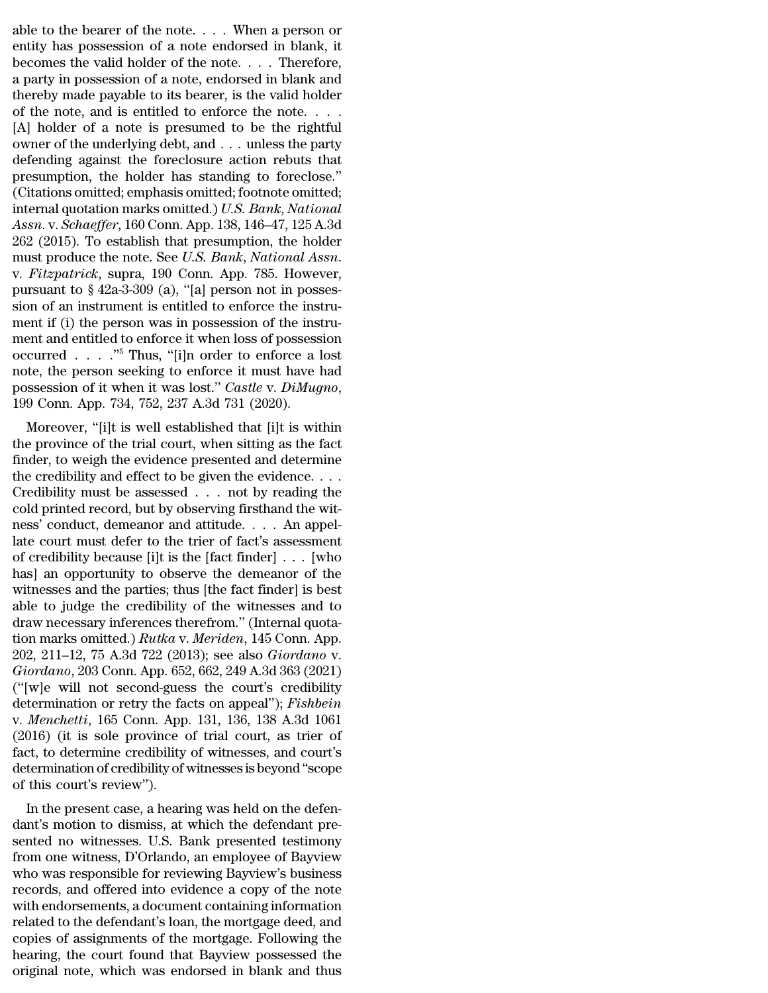able to the bearer of the note. . . . When a person or entity has possession of a note endorsed in blank, it becomes the valid holder of the note  $\overline{\phantom{a}}$  Therefore able to the bearer of the note. . . . When a person or entity has possession of a note endorsed in blank, it becomes the valid holder of the note. . . . Therefore, able to the bearer of the note. . . . When a person or entity has possession of a note endorsed in blank, it becomes the valid holder of the note. . . . Therefore, a party in possession of a note, endorsed in blank and th able to the bearer of the note. . . . When a person or entity has possession of a note endorsed in blank, it becomes the valid holder of the note. . . . Therefore, a party in possession of a note, endorsed in blank and th able to the bearer of the note. . . . When a person or entity has possession of a note endorsed in blank, it becomes the valid holder of the note. . . . Therefore, a party in possession of a note, endorsed in blank and th able to the bearer of the note. . . . When a person or entity has possession of a note endorsed in blank, it becomes the valid holder of the note. . . . Therefore, a party in possession of a note, endorsed in blank and th able to the bearer of the note. . . . When a person or<br>entity has possession of a note endorsed in blank, it<br>becomes the valid holder of the note. . . . Therefore,<br>a party in possession of a note, endorsed in blank and<br>th entity has possession of a note endorsed in blank, it<br>becomes the valid holder of the note. . . . Therefore,<br>a party in possession of a note, endorsed in blank and<br>thereby made payable to its bearer, is the valid holder<br>o becomes the valid holder of the note. . . . Therefore,<br>a party in possession of a note, endorsed in blank and<br>thereby made payable to its bearer, is the valid holder<br>of the note, and is entitled to enforce the note. . . . a party in possession of a note, endorsed in blank and<br>thereby made payable to its bearer, is the valid holder<br>of the note, and is entitled to enforce the note....<br>[A] holder of a note is presumed to be the rightful<br>owner thereby made payable to its bearer, is the valid holder<br>of the note, and is entitled to enforce the note. . . .<br>[A] holder of a note is presumed to be the rightful<br>owner of the underlying debt, and . . . unless the party<br> of the note, and is entitled to enforce the note. . . . . [A] holder of a note is presumed to be the rightful<br>owner of the underlying debt, and . . . unless the party<br>defending against the foreclosure action rebuts that<br>p *Assn.* v. *Schaeffer*, 160 Conn. App. *IS Scanis Membershierds* (Assn. *Assn.* v. *Schaefferr*, 160 Conn. App. 138, 146–47, 125 A.3d 262 (2015). To establish that presumption, the holder has standing to foreclose." (Citat owner of the underlying debt, and . . . unless the party<br>defending against the foreclosure action rebuts that<br>presumption, the holder has standing to foreclose."<br>(Citations omitted; emphasis omitted; footnote omitted;<br>int defending against the foreclosure action rebuts that<br>presumption, the holder has standing to foreclose."<br>(Citations omitted; emphasis omitted; footnote omitted;<br>internal quotation marks omitted.) *U.S. Bank*, *National*<br>*A* (Citations omitted; emphasis omitted; footnote omitted;<br>internal quotation marks omitted.) U.S. Bank, National<br>Assn. v. Schaeffer, 160 Conn. App. 138, 146–47, 125 A.3d<br>262 (2015). To establish that presumption, the holder internal quotation marks omitted.) U.S. Bank, National<br>Assn. v. Schaeffer, 160 Conn. App. 138, 146–47, 125 A.3d<br>262 (2015). To establish that presumption, the holder<br>must produce the note. See U.S. Bank, National Assn.<br>v. Assn. v. Schaeffer, 160 Conn. App. 138, 146–47, 125 A.3d 262 (2015). To establish that presumption, the holder must produce the note. See *U.S. Bank*, *National Assn.* v. *Fitzpatrick*, supra, 190 Conn. App. 785. However, 262 (2015). To establish that presumption, the holder<br>must produce the note. See *U.S. Bank*, *National Assn.*<br>v. *Fitzpatrick*, supra, 190 Conn. App. 785. However,<br>pursuant to § 42a-3-309 (a), "[a] person not in posses-<br> must produce the note. See *U.S. Bank*, *National Assn.*<br>v. *Fitzpatrick*, supra, 190 Conn. App. 785. However,<br>pursuant to § 42a-3-309 (a), "[a] person not in posses-<br>sion of an instrument is entitled to enforce the instr v. *Fitzpatrick*, supra, 190 Conn. App. 785. However,<br>pursuant to § 42a-3-309 (a), "[a] person not in posses-<br>sion of an instrument is entitled to enforce the instru-<br>ment if (i) the person was in possession of the instru pursuant to § 42a-3-309 (a), "[a] person not in posses-<br>sion of an instrument is entitled to enforce the instru-<br>ment if (i) the person was in possession of the instru-<br>ment and entitled to enforce it when loss of possessi ERRET IT (1) the person was in possession of the instru-<br>ent and entitled to enforce it when loss of possession<br>curred . . . . ."<sup>5</sup> Thus, "[i]n order to enforce a lost<br>te, the person seeking to enforce it must have had<br>s thent and entitied to enforce it when loss of possession<br>occurred . . . ."<sup>5</sup> Thus, "[i]n order to enforce a lost<br>note, the person seeking to enforce it must have had<br>possession of it when it was lost." *Castle v. DiMugno* 

finder to enforce a finder to enforce a fost<br>note, the person seeking to enforce it must have had<br>possession of it when it was lost." *Castle v. DiMugno*,<br>199 Conn. App. 734, 752, 237 A.3d 731 (2020).<br>Moreover, "[i]t is w the credibility and effect to be given the evidence. . . . possession of it when it was fost. Casile v. Dimagno,<br>199 Conn. App. 734, 752, 237 A.3d 731 (2020).<br>Moreover, "[i]t is well established that [i]t is within<br>the province of the trial court, when sitting as the fact<br>finder, They cold princ Rightan and the trial court, when sitting as the fact finder, to weigh the evidence presented and determine the credibility and effect to be given the evidence.... Credibility must be assessed ... not by r Moreover, "[i]t is well established that [i]t is within<br>the province of the trial court, when sitting as the fact<br>finder, to weigh the evidence presented and determine<br>the credibility and effect to be given the evidence. the province of the trial court, when sitting as the fact<br>finder, to weigh the evidence presented and determine<br>the credibility and effect to be given the evidence....<br>Credibility must be assessed ... not by reading the<br>c finder, to weigh the evidence presented and determine<br>the credibility and effect to be given the evidence. . . .<br>Credibility must be assessed . . . not by reading the<br>cold printed record, but by observing firsthand the wi the credibility and effect to be given the evidence. . . .<br>
Credibility must be assessed . . . not by reading the<br>
cold printed record, but by observing firsthand the wit-<br>
ness' conduct, demeanor and attitude. . . . An a Credibility must be assessed . . . not by reading the cold printed record, but by observing firsthand the witness' conduct, demeanor and attitude. . . . An appellate court must defer to the trier of fact's assessment of c cold printed record, but by observing firsthand the wit-<br>ness' conduct, demeanor and attitude. . . . An appel-<br>late court must defer to the trier of fact's assessment<br>of credibility because [i]t is the [fact finder] . . . ness' conduct, demeanor and attitude. . . . An appel-<br>late court must defer to the trier of fact's assessment<br>of credibility because [i]t is the [fact finder] . . . [who<br>has] an opportunity to observe the demeanor of the<br> late court must defer to the trier of fact's assessment<br>of credibility because [i]t is the [fact finder] . . . [who<br>has] an opportunity to observe the demeanor of the<br>witnesses and the parties; thus [the fact finder] is be of credibility because [i]t is the [fact finder] . . . [who<br>has] an opportunity to observe the demeanor of the<br>witnesses and the parties; thus [the fact finder] is best<br>able to judge the credibility of the witnesses and to has] an opportunity to observe the demeanor of the<br>witnesses and the parties; thus [the fact finder] is best<br>able to judge the credibility of the witnesses and to<br>draw necessary inferences therefrom." (Internal quota-<br>tion witnesses and the parties; thus [the fact finder] is best<br>able to judge the credibility of the witnesses and to<br>draw necessary inferences therefrom." (Internal quota-<br>tion marks omitted.) *Rutka* v. *Meriden*, 145 Conn. A able to judge the credibility of the witnesses and to<br>draw necessary inferences therefrom." (Internal quota-<br>tion marks omitted.) *Rutka* v. *Meriden*, 145 Conn. App.<br>202, 211–12, 75 A.3d 722 (2013); see also *Giordano* v. draw necessary inferences therefrom." (Internal quotation marks omitted.) *Rutka v. Meriden*, 145 Conn. App. 202, 211–12, 75 A.3d 722 (2013); see also *Giordano v. Giordano*, 203 Conn. App. 652, 662, 249 A.3d 363 (2021) (" tion marks omitted.)  $Rutka$  v. Meriden, 145 Conn. App.<br>202, 211–12, 75 A.3d 722 (2013); see also *Giordano* v.<br>*Giordano*, 203 Conn. App. 652, 662, 249 A.3d 363 (2021)<br>("[w]e will not second-guess the court's credibility<br>d 202, 211–12, 75 A.3d 722 (2013); see also *Giordano* v.<br> *Giordano*, 203 Conn. App. 652, 662, 249 A.3d 363 (2021)<br>
("[w]e will not second-guess the court's credibility<br>
determination or retry the facts on appeal"); *Fishb* Giordano, 203 Conn. App. 652, 662, 249 A.3d 363 (2021)<br>("[w]e will not second-guess the court's credibility<br>determination or retry the facts on appeal"); *Fishbein*<br>v. Menchetti, 165 Conn. App. 131, 136, 138 A.3d 1061<br>(201 ("[w]e will not second-gues<br>determination or retry the fa<br>v. *Menchetti*, 165 Conn. App<br>(2016) (it is sole province of<br>act, to determine credibility<br>determination of credibility of<br>of this court's review").<br>In the present Menchetti, 165 Conn. App. 131, 136, 138 A.3d 1061<br>
Menchetti, 165 Conn. App. 131, 136, 138 A.3d 1061<br>
016) (it is sole province of trial court, as trier of<br>
ct, to determine credibility of witnesses, and court's<br>
terminati v. *menchetti*, 105 Collii. App. 151, 150, 158 A.5d 1001 (2016) (it is sole province of trial court, as trier of fact, to determine credibility of witnesses, and court's determination of credibility of witnesses is beyond

(2010) (it is sole province of that court, as ther of<br>fact, to determine credibility of witnesses, and court's<br>determination of credibility of witnesses is beyond "scope<br>of this court's review").<br>In the present case, a hea ract, to determine credibility of witnesses, and court's<br>determination of credibility of witnesses is beyond "scope<br>of this court's review").<br>In the present case, a hearing was held on the defen-<br>dant's motion to dismiss, determination of credibility of whitesses is beyond scope<br>of this court's review").<br>In the present case, a hearing was held on the defen-<br>dant's motion to dismiss, at which the defendant pre-<br>sented no witnesses. U.S. Bank In the present case, a hearing was held on the defendant's motion to dismiss, at which the defendant presented no witnesses. U.S. Bank presented testimony from one witness, D'Orlando, an employee of Bayview who was respons In the present case, a hearing was held on the defen-<br>dant's motion to dismiss, at which the defendant pre-<br>sented no witnesses. U.S. Bank presented testimony<br>from one witness, D'Orlando, an employee of Bayview<br>who was res dant's motion to dismiss, at which the defendant presented no witnesses. U.S. Bank presented testimony<br>from one witness, D'Orlando, an employee of Bayview<br>who was responsible for reviewing Bayview's business<br>records, and o sented no witnesses. U.S. Bank presented testimony<br>from one witness, D'Orlando, an employee of Bayview<br>who was responsible for reviewing Bayview's business<br>records, and offered into evidence a copy of the note<br>with endorse from one witness, D'Orlando, an employee of Bayview<br>who was responsible for reviewing Bayview's business<br>records, and offered into evidence a copy of the note<br>with endorsements, a document containing information<br>related to who was responsible for reviewing Bayview's business<br>records, and offered into evidence a copy of the note<br>with endorsements, a document containing information<br>related to the defendant's loan, the mortgage deed, and<br>copies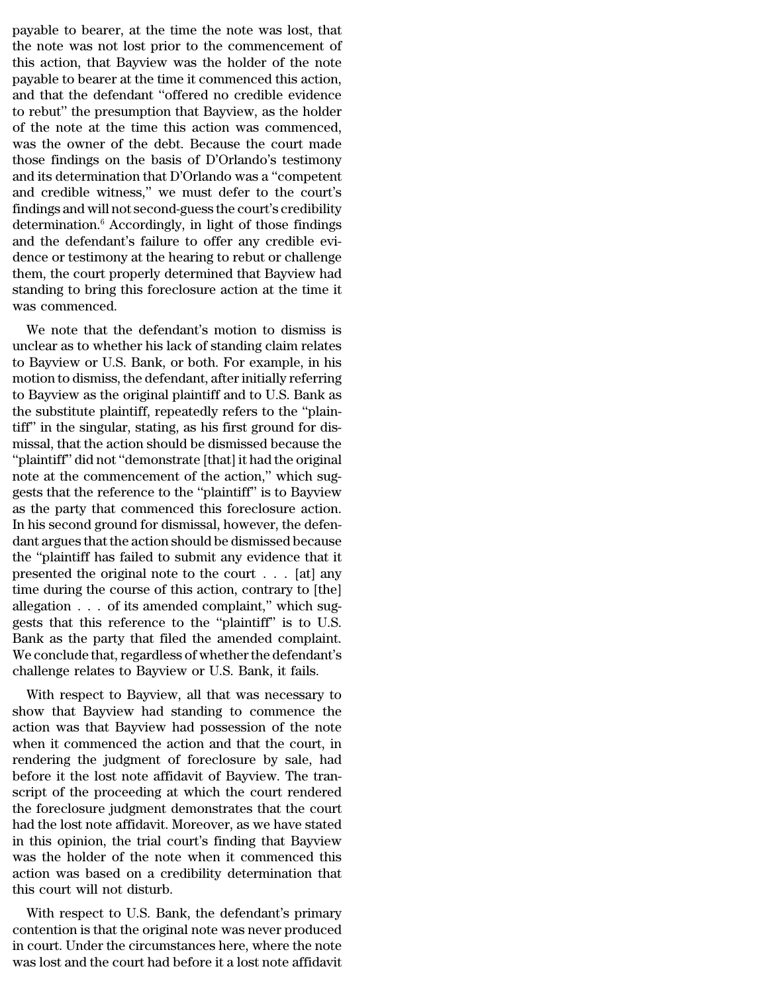payable to bearer, at the time the note was lost, that<br>the note was not lost prior to the commencement of<br>this action, that Bayriow was the holder of the note payable to bearer, at the time the note was lost, that<br>the note was not lost prior to the commencement of<br>this action, that Bayview was the holder of the note<br>payable to bearer at the time it commenced this action payable to bearer, at the time the note was lost, that<br>the note was not lost prior to the commencement of<br>this action, that Bayview was the holder of the note<br>payable to bearer at the time it commenced this action,<br>and tha payable to bearer, at the time the note was lost, that<br>the note was not lost prior to the commencement of<br>this action, that Bayview was the holder of the note<br>payable to bearer at the time it commenced this action,<br>and tha payable to bearer, at the time the note was lost, that<br>the note was not lost prior to the commencement of<br>this action, that Bayview was the holder of the note<br>payable to bearer at the time it commenced this action,<br>and tha payable to bearer, at the time the note was lost, that<br>the note was not lost prior to the commencement of<br>this action, that Bayview was the holder of the note<br>payable to bearer at the time it commenced this action,<br>and tha payable to bearer, at the time the note was lost, that<br>the note was not lost prior to the commencement of<br>this action, that Bayview was the holder of the note<br>payable to bearer at the time it commenced this action,<br>and tha the note was not lost prior to the commencement of<br>this action, that Bayview was the holder of the note<br>payable to bearer at the time it commenced this action,<br>and that the defendant "offered no credible evidence<br>to rebut" this action, that Bayview was the holder of the note<br>payable to bearer at the time it commenced this action,<br>and that the defendant "offered no credible evidence<br>to rebut" the presumption that Bayview, as the holder<br>of the payable to bearer at the time it commenced this action,<br>and that the defendant "offered no credible evidence<br>to rebut" the presumption that Bayview, as the holder<br>of the note at the time this action was commenced,<br>was the and that the defendant "offered no credible evidence<br>to rebut" the presumption that Bayview, as the holder<br>of the note at the time this action was commenced,<br>was the owner of the debt. Because the court made<br>those findings to rebut" the presumption that Bayview, as the holder<br>of the note at the time this action was commenced,<br>was the owner of the debt. Because the court made<br>those findings on the basis of D'Orlando's testimony<br>and its determ of the note at the time this action was commenced,<br>was the owner of the debt. Because the court made<br>those findings on the basis of D'Orlando's testimony<br>and its determination that D'Orlando was a "competent<br>and credible w was the owner of the debt. Because the court made<br>those findings on the basis of D'Orlando's testimony<br>and its determination that D'Orlando was a "competent<br>and credible witness," we must defer to the court's<br>findings and those findings on the basis of D'Orlando's testimony<br>and its determination that D'Orlando was a "competent<br>and credible witness," we must defer to the court's<br>findings and will not second-guess the court's credibility<br>dete and its determination that D'Orlando was a "competent<br>and credible witness," we must defer to the court's<br>findings and will not second-guess the court's credibility<br>determination.<sup>6</sup> Accordingly, in light of those findings and credible witness," we must defer to the court's findings and will not second-guess the court's credibility determination.<sup>6</sup> Accordingly, in light of those findings and the defendant's failure to offer any credible evi findings and will not see<br>determination.<sup>6</sup> Accord<br>and the defendant's fa<br>dence or testimony at t<br>them, the court proper<br>standing to bring this<br>was commenced.<br>We note that the de Merhinlation. Accordingly, in fight of those intuities<br>d the defendant's failure to offer any credible evi-<br>nce or testimony at the hearing to rebut or challenge<br>em, the court properly determined that Bayview had<br>anding to and the defendant s lande to oner any credible evidence or testimony at the hearing to rebut or challenge<br>them, the court properly determined that Bayview had<br>standing to bring this foreclosure action at the time it<br>was co

defice of testimoly at the hearing to Febut of challenge<br>them, the court properly determined that Bayview had<br>standing to bring this foreclosure action at the time it<br>was commenced.<br>We note that the defendant's motion to d motion, the court properly determined that Bayview had<br>standing to bring this foreclosure action at the time it<br>was commenced.<br>We note that the defendant's motion to dismiss is<br>unclear as to whether his lack of standing cl standing to bring this foreclosure action at the time it<br>was commenced.<br>We note that the defendant's motion to dismiss is<br>unclear as to whether his lack of standing claim relates<br>to Bayview or U.S. Bank, or both. For examp We note that the defendant's motion to dismiss is<br>unclear as to whether his lack of standing claim relates<br>to Bayview or U.S. Bank, or both. For example, in his<br>motion to dismiss, the defendant, after initially referring<br>t We note that the defendant's motion to dismiss is<br>unclear as to whether his lack of standing claim relates<br>to Bayview or U.S. Bank, or both. For example, in his<br>motion to dismiss, the defendant, after initially referring<br>t unclear as to whether his lack of standing claim relates<br>to Bayview or U.S. Bank, or both. For example, in his<br>motion to dismiss, the defendant, after initially referring<br>to Bayview as the original plaintiff and to U.S. Ba to Bayview or U.S. Bank, or both. For example, in his motion to dismiss, the defendant, after initially referring to Bayview as the original plaintiff and to U.S. Bank as the substitute plaintiff, repeatedly refers to the motion to dismiss, the defendant, after initially referring<br>to Bayview as the original plaintiff and to U.S. Bank as<br>the substitute plaintiff, repeatedly refers to the "plain-<br>tiff" in the singular, stating, as his first g to Bayview as the original plaintiff and to U.S. Bank as<br>the substitute plaintiff, repeatedly refers to the "plain-<br>tiff" in the singular, stating, as his first ground for dis-<br>missal, that the action should be dismissed b the substitute plaintiff, repeatedly refers to the "plaintiff" in the singular, stating, as his first ground for dismissal, that the action should be dismissed because the "plaintiff" did not "demonstrate [that] it had the tiff" in the singular, stating, as his first ground for dismissal, that the action should be dismissed because the "plaintiff" did not "demonstrate [that] it had the original note at the commencement of the action," which missal, that the action should be dismissed because the<br>"plaintiff" did not "demonstrate [that] it had the original<br>note at the commencement of the action," which sug-<br>gests that the reference to the "plaintiff" is to Bayv "plaintiff" did not "demonstrate [that] it had the original<br>note at the commencement of the action," which suggests that the reference to the "plaintiff" is to Bayview<br>as the party that commenced this foreclosure action.<br> note at the commencement of the action," which suggests that the reference to the "plaintiff" is to Bayview<br>as the party that commenced this foreclosure action.<br>In his second ground for dismissal, however, the defen-<br>dant gests that the reference to the "plaintiff" is to Bayview<br>as the party that commenced this foreclosure action.<br>In his second ground for dismissal, however, the defen-<br>dant argues that the action should be dismissed because as the party that commenced this foreclosure action.<br>In his second ground for dismissal, however, the defendant argues that the action should be dismissed because<br>the "plaintiff has failed to submit any evidence that it<br>p In his second ground for dismissal, however, the defendant argues that the action should be dismissed because<br>the "plaintiff has failed to submit any evidence that it<br>presented the original note to the court  $\dots$  [at] any dant argues that the action should be dismissed because<br>the "plaintiff has failed to submit any evidence that it<br>presented the original note to the court  $\dots$  [at] any<br>time during the course of this action, contrary to [t the "plaintiff has failed to submit any evidence that it<br>presented the original note to the court  $\ldots$  [at] any<br>time during the course of this action, contrary to [the]<br>allegation  $\ldots$  of its amended complaint," which s presented the original note to the court  $\ldots$  [at] any<br>time during the course of this action, contrary to [the]<br>allegation  $\ldots$  of its amended complaint," which sug-<br>gests that this reference to the "plaintiff" is to U. the during the course of this action, contrary to [the]<br>egation . . . of its amended complaint," which sug-<br>sts that this reference to the "plaintiff" is to U.S.<br>ank as the party that filed the amended complaint.<br>e conclud anegation . . . . of its antended complaint, which suggests that this reference to the "plaintiff" is to U.S.<br>Bank as the party that filed the amended complaint.<br>We conclude that, regardless of whether the defendant's<br>chal

gests that this reference to the planning is to 0.5.<br>Bank as the party that filed the amended complaint.<br>We conclude that, regardless of whether the defendant's<br>challenge relates to Bayview or U.S. Bank, it fails.<br>With res Bank as the party that fhed the antended complaint.<br>We conclude that, regardless of whether the defendant's<br>challenge relates to Bayview or U.S. Bank, it fails.<br>With respect to Bayview, all that was necessary to<br>show that relative that, regardless of whether the defendant s<br>challenge relates to Bayview or U.S. Bank, it fails.<br>With respect to Bayview, all that was necessary to<br>show that Bayview had standing to commence the<br>action was that Ba challenge relates to Bayview or U.S. Bank, it fails.<br>With respect to Bayview, all that was necessary to<br>show that Bayview had standing to commence the<br>action was that Bayview had possession of the note<br>when it commenced th With respect to Bayview, all that was necessary to<br>show that Bayview had standing to commence the<br>action was that Bayview had possession of the note<br>when it commenced the action and that the court, in<br>rendering the judgmen show that Bayview had standing to commence the<br>action was that Bayview had possession of the note<br>when it commenced the action and that the court, in<br>rendering the judgment of foreclosure by sale, had<br>before it the lost no action was that Bayview had possession of the note<br>when it commenced the action and that the court, in<br>rendering the judgment of foreclosure by sale, had<br>before it the lost note affidavit of Bayview. The tran-<br>script of th when it commenced the action and that the court, in<br>rendering the judgment of foreclosure by sale, had<br>before it the lost note affidavit of Bayview. The tran-<br>script of the proceeding at which the court rendered<br>the forecl rendering the judgment of foreclosure by sale, had<br>before it the lost note affidavit of Bayview. The tran-<br>script of the proceeding at which the court rendered<br>the foreclosure judgment demonstrates that the court<br>had the l before it the lost note affidavit of Bayview. The tran-<br>script of the proceeding at which the court rendered<br>the foreclosure judgment demonstrates that the court<br>had the lost note affidavit. Moreover, as we have stated<br>in script of the proceeding at white<br>the foreclosure judgment demo<br>had the lost note affidavit. More<br>in this opinion, the trial court's<br>was the holder of the note wh<br>action was based on a credibil<br>this court will not disturb. d the lost note affidavit. Moreover, as we have stated<br>this opinion, the trial court's finding that Bayview<br>as the holder of the note when it commenced this<br>tion was based on a credibility determination that<br>is court will rad the fost hote amdavit. Moreover, as we have stated<br>in this opinion, the trial court's finding that Bayview<br>was the holder of the note when it commenced this<br>action was based on a credibility determination that<br>this cou

In this opinion, the that courts intuing that Bayview<br>was the holder of the note when it commenced this<br>action was based on a credibility determination that<br>this court will not disturb.<br>With respect to U.S. Bank, the defen was the holder of the hole when it commented this<br>action was based on a credibility determination that<br>this court will not disturb.<br>With respect to U.S. Bank, the defendant's primary<br>contention is that the original note wa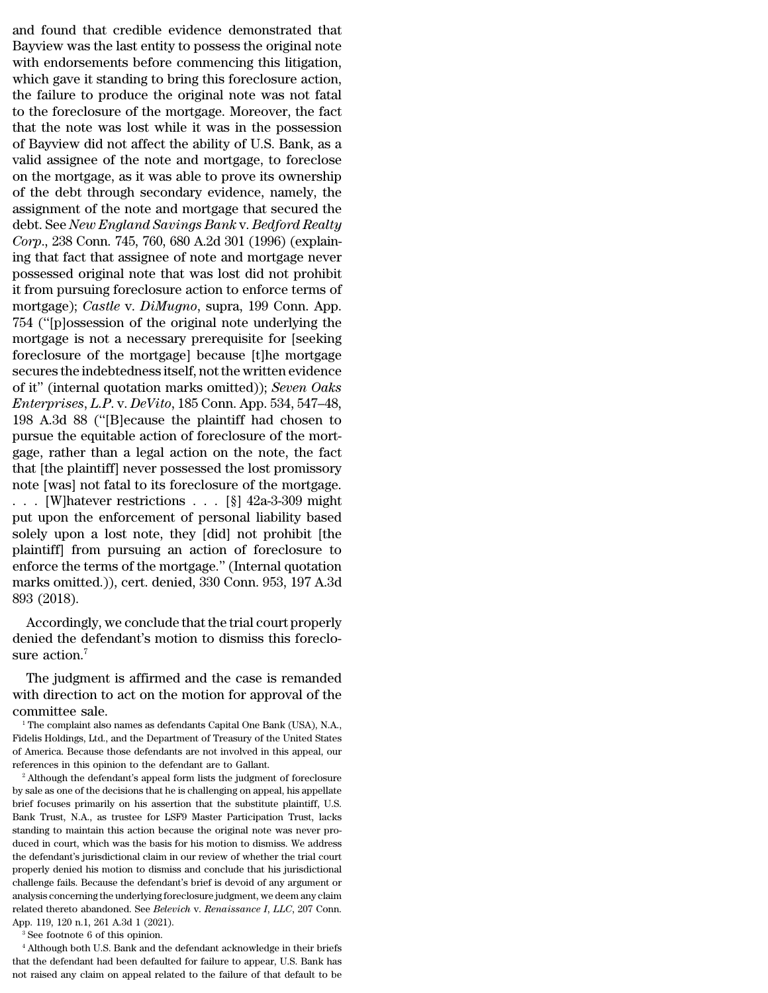and found that credible evidence demonstrated that<br>Bayview was the last entity to possess the original note<br>with ondersements before commencing this litigation and found that credible evidence demonstrated that<br>Bayview was the last entity to possess the original note<br>with endorsements before commencing this litigation,<br>which gave it standing to bring this forcelosure action and found that credible evidence demonstrated that<br>Bayview was the last entity to possess the original note<br>with endorsements before commencing this litigation,<br>which gave it standing to bring this foreclosure action,<br>the and found that credible evidence demonstrated that<br>Bayview was the last entity to possess the original note<br>with endorsements before commencing this litigation,<br>which gave it standing to bring this foreclosure action,<br>the and found that credible evidence demonstrated that<br>Bayview was the last entity to possess the original note<br>with endorsements before commencing this litigation,<br>which gave it standing to bring this foreclosure action,<br>the and found that credible evidence demonstrated that<br>Bayview was the last entity to possess the original note<br>with endorsements before commencing this litigation,<br>which gave it standing to bring this foreclosure action,<br>the and found that credible evidence demonstrated that<br>Bayview was the last entity to possess the original note<br>with endorsements before commencing this litigation,<br>which gave it standing to bring this foreclosure action,<br>the Bayview was the last entity to possess the original note<br>with endorsements before commencing this litigation,<br>which gave it standing to bring this foreclosure action,<br>the failure to produce the original note was not fatal<br> with endorsements before commencing this litigation,<br>which gave it standing to bring this foreclosure action,<br>the failure to produce the original note was not fatal<br>to the foreclosure of the mortgage. Moreover, the fact<br>th which gave it standing to bring this foreclosure action,<br>the failure to produce the original note was not fatal<br>to the foreclosure of the mortgage. Moreover, the fact<br>that the note was lost while it was in the possession<br>o the failure to produce the original note was not fatal<br>to the foreclosure of the mortgage. Moreover, the fact<br>that the note was lost while it was in the possession<br>of Bayview did not affect the ability of U.S. Bank, as a<br>v to the foreclosure of the mortgage. Moreover, the fact<br>that the note was lost while it was in the possession<br>of Bayview did not affect the ability of U.S. Bank, as a<br>valid assignee of the note and mortgage, to foreclose<br>o that the note was lost while it was in the possession<br>of Bayview did not affect the ability of U.S. Bank, as a<br>valid assignee of the note and mortgage, to foreclose<br>on the mortgage, as it was able to prove its ownership<br>of of Bayview did not affect the ability of U.S. Bank, as a valid assignee of the note and mortgage, to foreclose on the mortgage, as it was able to prove its ownership of the debt through secondary evidence, namely, the assi valid assignee of the note and mortgage, to foreclose<br>on the mortgage, as it was able to prove its ownership<br>of the debt through secondary evidence, namely, the<br>assignment of the note and mortgage that secured the<br>debt. Se on the mortgage, as it was able to prove its ownership<br>of the debt through secondary evidence, namely, the<br>assignment of the note and mortgage that secured the<br>debt. See *New England Savings Bank* v. *Bedford Realty*<br>*Cor* of the debt through secondary evidence, namely, the<br>assignment of the note and mortgage that secured the<br>debt. See *New England Savings Bank v. Bedford Realty*<br>*Corp.*, 238 Conn. 745, 760, 680 A.2d 301 (1996) (explain-<br>ing assignment of the note and mortgage that secured the<br>debt. See *New England Savings Bank* v. *Bedford Realty*<br>*Corp.*, 238 Conn. 745, 760, 680 A.2d 301 (1996) (explain-<br>ing that fact that assignee of note and mortgage neve debt. See *New England Savings Bank* v. *Bedford Realty*<br>Corp., 238 Conn. 745, 760, 680 A.2d 301 (1996) (explain-<br>ing that fact that assignee of note and mortgage never<br>possessed original note that was lost did not prohibi Corp., 238 Conn. 745, 760, 680 A.2d 301 (1996) (explaining that fact that assignee of note and mortgage never possessed original note that was lost did not prohibit it from pursuing foreclosure action to enforce terms of ing that fact that assignee of note and mortgage never<br>possessed original note that was lost did not prohibit<br>it from pursuing foreclosure action to enforce terms of<br>mortgage); *Castle* v. *DiMugno*, supra, 199 Conn. App.<br> possessed original note that was lost did not prohibit<br>it from pursuing foreclosure action to enforce terms of<br>mortgage); *Castle v. DiMugno*, supra, 199 Conn. App.<br>754 ("[p]ossession of the original note underlying the<br>mo it from pursuing foreclosure action to enforce terms of<br>mortgage); *Castle v. DiMugno*, supra, 199 Conn. App.<br>754 ("[p]ossession of the original note underlying the<br>mortgage is not a necessary prerequisite for [seeking<br>for mortgage); *Castle* v. *DiMugno*, supra, 199 Conn. App.<br>754 ("[p]ossession of the original note underlying the<br>mortgage is not a necessary prerequisite for [seeking<br>foreclosure of the mortgage] because [t]he mortgage<br>secur 754 ("[p]ossession of the original note underlying the<br>mortgage is not a necessary prerequisite for [seeking<br>foreclosure of the mortgage] because [t]he mortgage<br>secures the indebtedness itself, not the written evidence<br>of mortgage is not a necessary prerequisite for [seeking<br>foreclosure of the mortgage] because [t]he mortgage<br>secures the indebtedness itself, not the written evidence<br>of it" (internal quotation marks omitted)); *Seven Oaks*<br> foreclosure of the mortgage] because [t]he mortgage<br>secures the indebtedness itself, not the written evidence<br>of it" (internal quotation marks omitted)); *Seven Oaks*<br>*Enterprises, L.P. v. DeVito*, 185 Conn. App. 534, 547 secures the indebtedness itself, not the written evidence<br>of it" (internal quotation marks omitted)); *Seven Oaks*<br>*Enterprises, L.P. v. DeVito*, 185 Conn. App. 534, 547–48,<br>198 A.3d 88 ("[B]ecause the plaintiff had chose of it" (internal quotation marks omitted)); *Seven Oaks*<br>*Enterprises, L.P. v. DeVito*, 185 Conn. App. 534, 547–48,<br>198 A.3d 88 ("[B]ecause the plaintiff had chosen to<br>pursue the equitable action of foreclosure of the mor *Enterprises, L.P. v. DeVito*, 185 Conn. App. 534, 547–48, 198 A.3d 88 ("[B]ecause the plaintiff had chosen to pursue the equitable action of foreclosure of the mortgage, rather than a legal action on the note, the fact t 198 A.3d 88 ("[B]ecause the plaintiff had chosen to<br>pursue the equitable action of foreclosure of the mort-<br>gage, rather than a legal action on the note, the fact<br>that [the plaintiff] never possessed the lost promissory<br>n pursue the equitable action of foreclosure of the mortgage, rather than a legal action on the note, the fact<br>that [the plaintiff] never possessed the lost promissory<br>note [was] not fatal to its foreclosure of the mortgage gage, rather than a legal action on the note, the fact<br>that [the plaintiff] never possessed the lost promissory<br>note [was] not fatal to its foreclosure of the mortgage.<br>. . . [W]<br>hatever restrictions . . . [§] 42a-3-309 m that [the plaintiff] never possessed the lost promissory<br>note [was] not fatal to its foreclosure of the mortgage.<br>. . . . [W]hatever restrictions . . . [§]  $42a-3-309$  might<br>put upon the enforcement of personal liability note [was] not fatal to its foreclosure of the mortgage.<br>
. . . [W]hatever restrictions . . . [§] 42a-3-309 might<br>
put upon the enforcement of personal liability based<br>
solely upon a lost note, they [did] not prohibit [the . . . [W]hatever<br>put upon the er<br>solely upon a le<br>plaintiff] from p<br>enforce the term<br>marks omitted.)<br>893 (2018).<br>Accordingly, v It upon the emorcement of personal nability based<br>lely upon a lost note, they [did] not prohibit [the<br>aintiff] from pursuing an action of foreclosure to<br>force the terms of the mortgage." (Internal quotation<br>arks omitted.)) solely upon a lost hote, they [did] hot promote [the<br>plaintiff] from pursuing an action of foreclosure to<br>enforce the terms of the mortgage." (Internal quotation<br>marks omitted.)), cert. denied, 330 Conn. 953, 197 A.3d<br>893 planting from pune<br>enforce the terms  $\alpha$  marks omitted.)),  $\alpha$ <br>893 (2018).<br>Accordingly, we<br>denied the defenda<br>sure action.<sup>7</sup><br>The judgment is

arks omitted.)), cert. denied, 330 Conn. 953, 197 A.3d<br>3 (2018).<br>Accordingly, we conclude that the trial court properly<br>nied the defendant's motion to dismiss this foreclo-<br>re action.<sup>7</sup><br>The judgment is affirmed and the ca 893 (2018).<br>
Accordingly, we conclude that the trial court properly<br>
denied the defendant's motion to dismiss this foreclo-<br>
sure action.<sup>7</sup><br>
The judgment is affirmed and the case is remanded<br>
with direction to act on the Accordingly, we co<br>denied the defendant<br>sure action.<sup>7</sup><br>The judgment is af<br>with direction to act<br>committee sale.<br><sup>1</sup>The complaint also name:<br>Fidelis Holdings, Ltd., and th

Ire judgment is affirmed and the case is remanded<br>ith direction to act on the motion for approval of the<br>ommittee sale.<br><sup>1</sup>The complaint also names as defendants Capital One Bank (USA), N.A.,<br>delis Holdings, Ltd., and the The judgment is affirmed and the case is remanded<br>with direction to act on the motion for approval of the<br>committee sale.<br><sup>1</sup> The complaint also names as defendants Capital One Bank (USA), N.A.,<br>Fidelis Holdings, Ltd., and

The judgment is affirmed and the case is remanded<br>with direction to act on the motion for approval of the<br>committee sale.<br><sup>1</sup> The complaint also names as defendants Capital One Bank (USA), N.A.,<br>Fidelis Holdings, Ltd., and with direction to act on the motion for approval of the committee sale.<br>
<sup>1</sup> The complaint also names as defendants Capital One Bank (USA), N.A., Fidelis Holdings, Ltd., and the Department of Treasury of the United States The complaint also names as defendants Capital One Bank (USA), N.A., Fidelis Holdings, Ltd., and the Department of Treasury of the United States of America. Because those defendants are not involved in this appeal, our re

Fidelis Holdings, Ltd., and the Department of Treasury of the United States of America. Because those defendants are not involved in this appeal, our references in this opinion to the defendant are to Gallant.<br><sup>2</sup> Although of America. Because those defendants are not involved in this appeal, our references in this opinion to the defendant are to Gallant.<br><sup>2</sup> Although the defendant's appeal form lists the judgment of foreclosure by sale as on % of America. Because those defendants are not involved in this appeal, our references in this opinion to the defendant are to Gallant.<br>
<sup>2</sup> Although the defendant's appeal form lists the judgment of foreclosure by sale a <sup>2</sup> Although the defendant's appeal form lists the judgment of foreclosure by sale as one of the decisions that he is challenging on appeal, his appellate brief focuses primarily on his assertion that the substitute plaint by sale as one of the decisions that he is challenging on appeal, his appellate brief focuses primarily on his assertion that the substitute plaintiff, U.S. Bank Trust, N.A., as trustee for LSF9 Master Participation Trust, brief focuses primarily on his assertion that the substitute plaintiff, U.S. Bank Trust, N.A., as trustee for LSF9 Master Participation Trust, lacks standing to maintain this action because the original note was never prod Bank Trust, N.A., as trustee for LSF9 Master Participation Trust, lacks standing to maintain this action because the original note was never produced in court, which was the basis for his motion to dismiss. We address the Example to maintain this action because the original note was never produced in court, which was the basis for his motion to dismiss. We address the defendant's jurisdictional claim in our review of whether the trial cour bandary of the method was the basis for his motion to dismiss. We address the defendant's jurisdictional claim in our review of whether the trial court properly denied his motion to dismiss and conclude that his jurisdicti the defendant's jurisdictional claim in our review of whether the trial court<br>properly denied his motion to dismiss and conclude that his jurisdictional<br>challenge fails. Because the defendant's brief is devoid of any argum analysis concerning the underlying foreclosure judgment, we deem any claim<br>analysis concerning the underlying foreclosure judgment, we deem any claim<br>related thereto abandoned. See *Belevich* v. *Renaissance I*, *LLC*, 20

not related thereto abandoned. See *Belevich v. Renaissance I, LLC*, 207 Conn.<br>App. 119, 120 n.1, 261 A.3d 1 (2021).<br><sup>3</sup> See footnote 6 of this opinion.<br><sup>4</sup> Although both U.S. Bank and the defendant acknowledge in their br